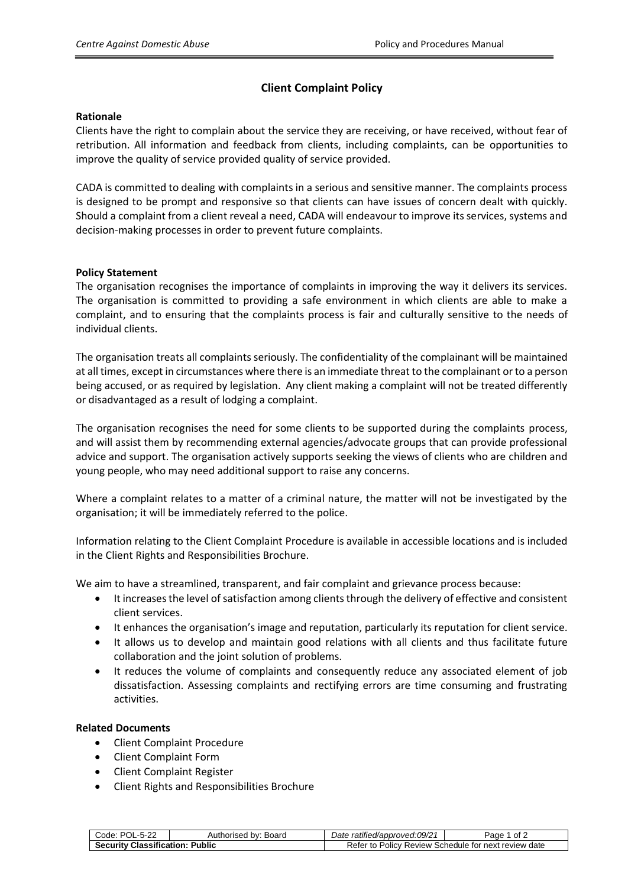# **Client Complaint Policy**

#### **Rationale**

Clients have the right to complain about the service they are receiving, or have received, without fear of retribution. All information and feedback from clients, including complaints, can be opportunities to improve the quality of service provided quality of service provided.

CADA is committed to dealing with complaints in a serious and sensitive manner. The complaints process is designed to be prompt and responsive so that clients can have issues of concern dealt with quickly. Should a complaint from a client reveal a need, CADA will endeavour to improve its services, systems and decision-making processes in order to prevent future complaints.

### **Policy Statement**

The organisation recognises the importance of complaints in improving the way it delivers its services. The organisation is committed to providing a safe environment in which clients are able to make a complaint, and to ensuring that the complaints process is fair and culturally sensitive to the needs of individual clients.

The organisation treats all complaints seriously. The confidentiality of the complainant will be maintained at all times, except in circumstances where there is an immediate threat to the complainant or to a person being accused, or as required by legislation. Any client making a complaint will not be treated differently or disadvantaged as a result of lodging a complaint.

The organisation recognises the need for some clients to be supported during the complaints process, and will assist them by recommending external agencies/advocate groups that can provide professional advice and support. The organisation actively supports seeking the views of clients who are children and young people, who may need additional support to raise any concerns.

Where a complaint relates to a matter of a criminal nature, the matter will not be investigated by the organisation; it will be immediately referred to the police.

Information relating to the Client Complaint Procedure is available in accessible locations and is included in the Client Rights and Responsibilities Brochure.

We aim to have a streamlined, transparent, and fair complaint and grievance process because:

- It increases the level of satisfaction among clients through the delivery of effective and consistent client services.
- It enhances the organisation's image and reputation, particularly its reputation for client service.
- It allows us to develop and maintain good relations with all clients and thus facilitate future collaboration and the joint solution of problems.
- It reduces the volume of complaints and consequently reduce any associated element of job dissatisfaction. Assessing complaints and rectifying errors are time consuming and frustrating activities.

#### **Related Documents**

- Client Complaint Procedure
- Client Complaint Form
- Client Complaint Register
- Client Rights and Responsibilities Brochure

| Code: POL-5-22                         | Authorised by: Board | Date ratified/approved:09/21                         | 1 of 2<br>Page |
|----------------------------------------|----------------------|------------------------------------------------------|----------------|
| <b>Security Classification: Public</b> |                      | Refer to Policy Review Schedule for next review date |                |